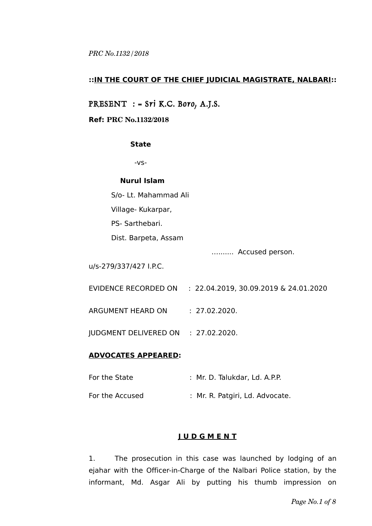### **::IN THE COURT OF THE CHIEF JUDICIAL MAGISTRATE, NALBARI::**

# PRESENT : = Sri K.C. Boro, A.J.S.

#### **Ref: PRC No.1132/2018**

#### **State**

-vs-

#### **Nurul Islam**

S/o- Lt. Mahammad Ali

Village- Kukarpar,

PS- Sarthebari.

Dist. Barpeta, Assam

…....... Accused person.

u/s-279/337/427 I.P.C.

- EVIDENCE RECORDED ON : 22.04.2019, 30.09.2019 & 24.01.2020
- ARGUMENT HEARD ON : 27.02.2020.

JUDGMENT DELIVERED ON : 27.02.2020.

### **ADVOCATES APPEARED:**

For the State : Mr. D. Talukdar, Ld. A.P.P. For the Accused : Mr. R. Patgiri, Ld. Advocate.

## **J U D G M E N T**

1. The prosecution in this case was launched by lodging of an ejahar with the Officer-in-Charge of the Nalbari Police station, by the informant, Md. Asgar Ali by putting his thumb impression on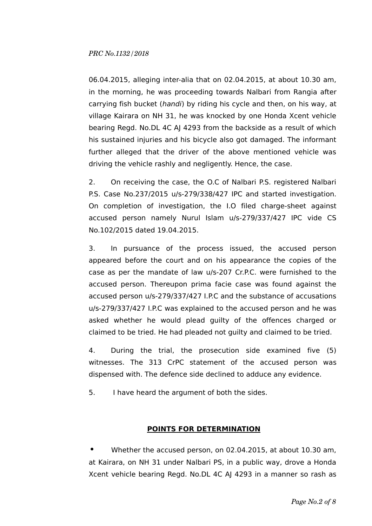06.04.2015, alleging inter-alia that on 02.04.2015, at about 10.30 am, in the morning, he was proceeding towards Nalbari from Rangia after carrying fish bucket (handi) by riding his cycle and then, on his way, at village Kairara on NH 31, he was knocked by one Honda Xcent vehicle bearing Regd. No.DL 4C AJ 4293 from the backside as a result of which his sustained injuries and his bicycle also got damaged. The informant further alleged that the driver of the above mentioned vehicle was driving the vehicle rashly and negligently. Hence, the case.

2. On receiving the case, the O.C of Nalbari P.S. registered Nalbari P.S. Case No.237/2015 u/s-279/338/427 IPC and started investigation. On completion of investigation, the I.O filed charge-sheet against accused person namely Nurul Islam u/s-279/337/427 IPC vide CS No.102/2015 dated 19.04.2015.

3. In pursuance of the process issued, the accused person appeared before the court and on his appearance the copies of the case as per the mandate of law u/s-207 Cr.P.C. were furnished to the accused person. Thereupon prima facie case was found against the accused person u/s-279/337/427 I.P.C and the substance of accusations u/s-279/337/427 I.P.C was explained to the accused person and he was asked whether he would plead guilty of the offences charged or claimed to be tried. He had pleaded not guilty and claimed to be tried.

4. During the trial, the prosecution side examined five (5) witnesses. The 313 CrPC statement of the accused person was dispensed with. The defence side declined to adduce any evidence.

5. I have heard the argument of both the sides.

## **POINTS FOR DETERMINATION**

**•** Whether the accused person, on 02.04.2015, at about 10.30 am, at Kairara, on NH 31 under Nalbari PS, in a public way, drove a Honda Xcent vehicle bearing Regd. No.DL 4C AJ 4293 in a manner so rash as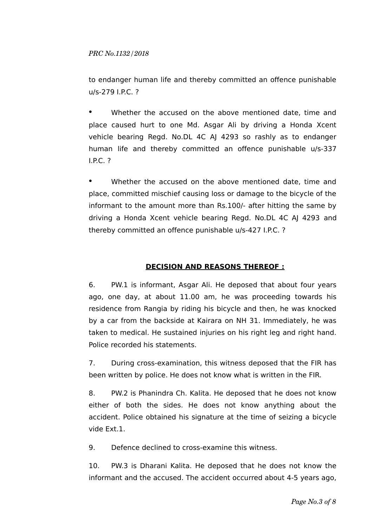to endanger human life and thereby committed an offence punishable u/s-279 I.P.C. ?

Whether the accused on the above mentioned date, time and place caused hurt to one Md. Asgar Ali by driving a Honda Xcent vehicle bearing Regd. No.DL 4C AJ 4293 so rashly as to endanger human life and thereby committed an offence punishable u/s-337 I.P.C. ?

Whether the accused on the above mentioned date, time and place, committed mischief causing loss or damage to the bicycle of the informant to the amount more than Rs.100/- after hitting the same by driving a Honda Xcent vehicle bearing Regd. No.DL 4C AJ 4293 and thereby committed an offence punishable u/s-427 I.P.C. ?

# **DECISION AND REASONS THEREOF :**

6. PW.1 is informant, Asgar Ali. He deposed that about four years ago, one day, at about 11.00 am, he was proceeding towards his residence from Rangia by riding his bicycle and then, he was knocked by a car from the backside at Kairara on NH 31. Immediately, he was taken to medical. He sustained injuries on his right leg and right hand. Police recorded his statements.

7. During cross-examination, this witness deposed that the FIR has been written by police. He does not know what is written in the FIR.

8. PW.2 is Phanindra Ch. Kalita. He deposed that he does not know either of both the sides. He does not know anything about the accident. Police obtained his signature at the time of seizing a bicycle vide Ext.1.

9. Defence declined to cross-examine this witness.

10. PW.3 is Dharani Kalita. He deposed that he does not know the informant and the accused. The accident occurred about 4-5 years ago,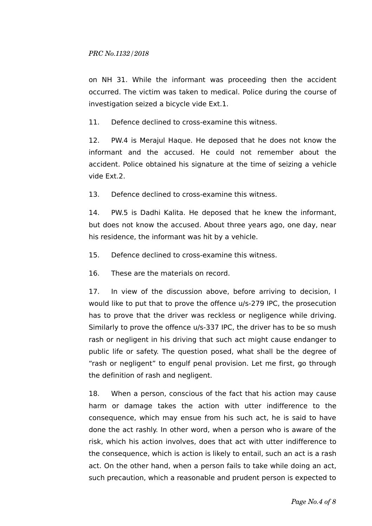on NH 31. While the informant was proceeding then the accident occurred. The victim was taken to medical. Police during the course of investigation seized a bicycle vide Ext.1.

11. Defence declined to cross-examine this witness.

12. PW.4 is Merajul Haque. He deposed that he does not know the informant and the accused. He could not remember about the accident. Police obtained his signature at the time of seizing a vehicle vide Ext.2.

13. Defence declined to cross-examine this witness.

14. PW.5 is Dadhi Kalita. He deposed that he knew the informant, but does not know the accused. About three years ago, one day, near his residence, the informant was hit by a vehicle.

15. Defence declined to cross-examine this witness.

16. These are the materials on record.

17. In view of the discussion above, before arriving to decision, I would like to put that to prove the offence u/s-279 IPC, the prosecution has to prove that the driver was reckless or negligence while driving. Similarly to prove the offence u/s-337 IPC, the driver has to be so mush rash or negligent in his driving that such act might cause endanger to public life or safety. The question posed, what shall be the degree of "rash or negligent" to engulf penal provision. Let me first, go through the definition of rash and negligent.

18. When a person, conscious of the fact that his action may cause harm or damage takes the action with utter indifference to the consequence, which may ensue from his such act, he is said to have done the act rashly. In other word, when a person who is aware of the risk, which his action involves, does that act with utter indifference to the consequence, which is action is likely to entail, such an act is a rash act. On the other hand, when a person fails to take while doing an act, such precaution, which a reasonable and prudent person is expected to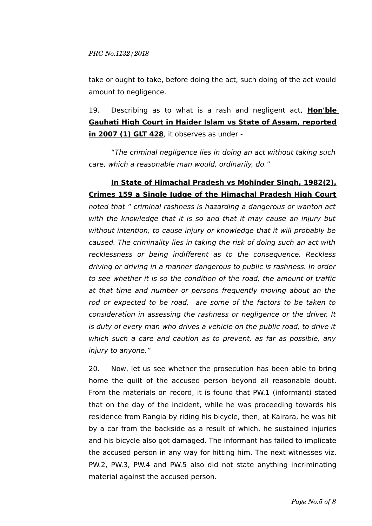take or ought to take, before doing the act, such doing of the act would amount to negligence.

19. Describing as to what is a rash and negligent act, **Hon'ble Gauhati High Court in Haider Islam vs State of Assam, reported in 2007 (1) GLT 428**, it observes as under -

"The criminal negligence lies in doing an act without taking such care, which a reasonable man would, ordinarily, do."

# **In State of Himachal Pradesh vs Mohinder Singh, 1982(2), Crimes 159 a Single Judge of the Himachal Pradesh High Court**

noted that " criminal rashness is hazarding a dangerous or wanton act with the knowledge that it is so and that it may cause an injury but without intention, to cause injury or knowledge that it will probably be caused. The criminality lies in taking the risk of doing such an act with recklessness or being indifferent as to the consequence. Reckless driving or driving in a manner dangerous to public is rashness. In order to see whether it is so the condition of the road, the amount of traffic at that time and number or persons frequently moving about an the rod or expected to be road, are some of the factors to be taken to consideration in assessing the rashness or negligence or the driver. It is duty of every man who drives a vehicle on the public road, to drive it which such a care and caution as to prevent, as far as possible, any injury to anyone."

20. Now, let us see whether the prosecution has been able to bring home the guilt of the accused person beyond all reasonable doubt. From the materials on record, it is found that PW.1 (informant) stated that on the day of the incident, while he was proceeding towards his residence from Rangia by riding his bicycle, then, at Kairara, he was hit by a car from the backside as a result of which, he sustained injuries and his bicycle also got damaged. The informant has failed to implicate the accused person in any way for hitting him. The next witnesses viz. PW.2, PW.3, PW.4 and PW.5 also did not state anything incriminating material against the accused person.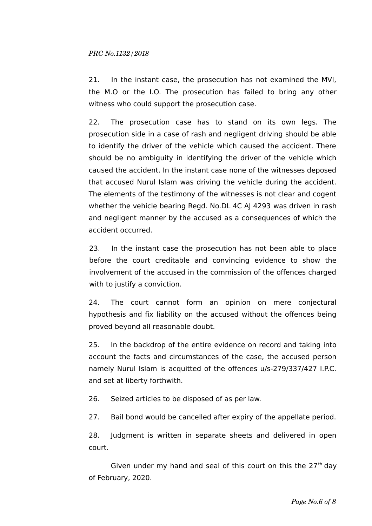21. In the instant case, the prosecution has not examined the MVI, the M.O or the I.O. The prosecution has failed to bring any other witness who could support the prosecution case.

22. The prosecution case has to stand on its own legs. The prosecution side in a case of rash and negligent driving should be able to identify the driver of the vehicle which caused the accident. There should be no ambiguity in identifying the driver of the vehicle which caused the accident. In the instant case none of the witnesses deposed that accused Nurul Islam was driving the vehicle during the accident. The elements of the testimony of the witnesses is not clear and cogent whether the vehicle bearing Regd. No.DL 4C AJ 4293 was driven in rash and negligent manner by the accused as a consequences of which the accident occurred.

23. In the instant case the prosecution has not been able to place before the court creditable and convincing evidence to show the involvement of the accused in the commission of the offences charged with to justify a conviction.

24. The court cannot form an opinion on mere conjectural hypothesis and fix liability on the accused without the offences being proved beyond all reasonable doubt.

25. In the backdrop of the entire evidence on record and taking into account the facts and circumstances of the case, the accused person namely Nurul Islam is acquitted of the offences u/s-279/337/427 I.P.C. and set at liberty forthwith.

26. Seized articles to be disposed of as per law.

27. Bail bond would be cancelled after expiry of the appellate period.

28. Judgment is written in separate sheets and delivered in open court.

Given under my hand and seal of this court on this the  $27<sup>th</sup>$  day of February, 2020.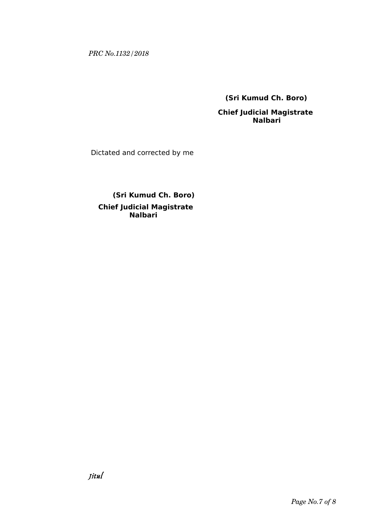**(Sri Kumud Ch. Boro)**

 **Chief Judicial Magistrate Nalbari**

Dictated and corrected by me

 **(Sri Kumud Ch. Boro) Chief Judicial Magistrate Nalbari**